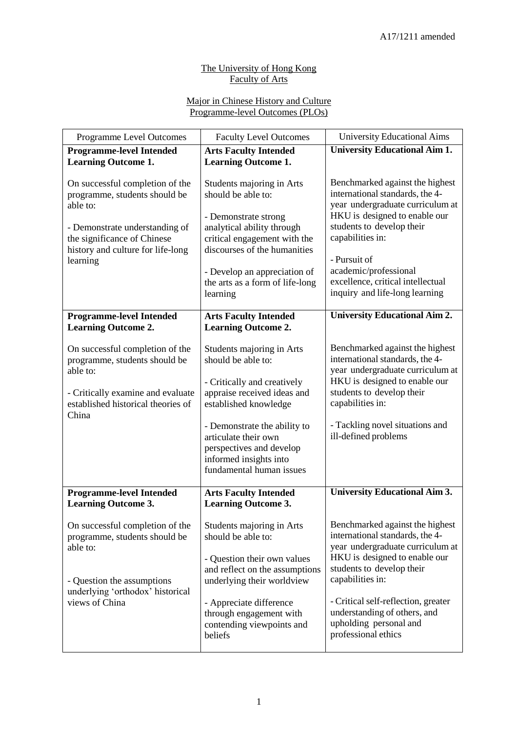## The University of Hong Kong Faculty of Arts

## Major in Chinese History and Culture Programme-level Outcomes (PLOs)

| Programme Level Outcomes                                                                                                                                                                       | <b>Faculty Level Outcomes</b>                                                                                                                                                                                                                                                    | <b>University Educational Aims</b>                                                                                                                                                                                                                                                                               |
|------------------------------------------------------------------------------------------------------------------------------------------------------------------------------------------------|----------------------------------------------------------------------------------------------------------------------------------------------------------------------------------------------------------------------------------------------------------------------------------|------------------------------------------------------------------------------------------------------------------------------------------------------------------------------------------------------------------------------------------------------------------------------------------------------------------|
| <b>Programme-level Intended</b><br><b>Learning Outcome 1.</b>                                                                                                                                  | <b>Arts Faculty Intended</b><br><b>Learning Outcome 1.</b>                                                                                                                                                                                                                       | <b>University Educational Aim 1.</b>                                                                                                                                                                                                                                                                             |
| On successful completion of the<br>programme, students should be<br>able to:<br>- Demonstrate understanding of<br>the significance of Chinese<br>history and culture for life-long<br>learning | Students majoring in Arts<br>should be able to:<br>- Demonstrate strong<br>analytical ability through<br>critical engagement with the<br>discourses of the humanities<br>- Develop an appreciation of<br>the arts as a form of life-long<br>learning                             | Benchmarked against the highest<br>international standards, the 4-<br>year undergraduate curriculum at<br>HKU is designed to enable our<br>students to develop their<br>capabilities in:<br>- Pursuit of<br>academic/professional<br>excellence, critical intellectual<br>inquiry and life-long learning         |
| <b>Programme-level Intended</b><br><b>Learning Outcome 2.</b>                                                                                                                                  | <b>Arts Faculty Intended</b><br><b>Learning Outcome 2.</b>                                                                                                                                                                                                                       | <b>University Educational Aim 2.</b>                                                                                                                                                                                                                                                                             |
| On successful completion of the<br>programme, students should be<br>able to:<br>- Critically examine and evaluate<br>established historical theories of<br>China                               | Students majoring in Arts<br>should be able to:<br>- Critically and creatively<br>appraise received ideas and<br>established knowledge<br>- Demonstrate the ability to<br>articulate their own<br>perspectives and develop<br>informed insights into<br>fundamental human issues | Benchmarked against the highest<br>international standards, the 4-<br>year undergraduate curriculum at<br>HKU is designed to enable our<br>students to develop their<br>capabilities in:<br>- Tackling novel situations and<br>ill-defined problems                                                              |
| <b>Programme-level Intended</b><br><b>Learning Outcome 3.</b>                                                                                                                                  | <b>Arts Faculty Intended</b><br><b>Learning Outcome 3.</b>                                                                                                                                                                                                                       | <b>University Educational Aim 3.</b>                                                                                                                                                                                                                                                                             |
| On successful completion of the<br>programme, students should be<br>able to:<br>- Question the assumptions<br>underlying 'orthodox' historical<br>views of China                               | Students majoring in Arts<br>should be able to:<br>- Question their own values<br>and reflect on the assumptions<br>underlying their worldview<br>- Appreciate difference<br>through engagement with<br>contending viewpoints and<br>beliefs                                     | Benchmarked against the highest<br>international standards, the 4-<br>year undergraduate curriculum at<br>HKU is designed to enable our<br>students to develop their<br>capabilities in:<br>- Critical self-reflection, greater<br>understanding of others, and<br>upholding personal and<br>professional ethics |